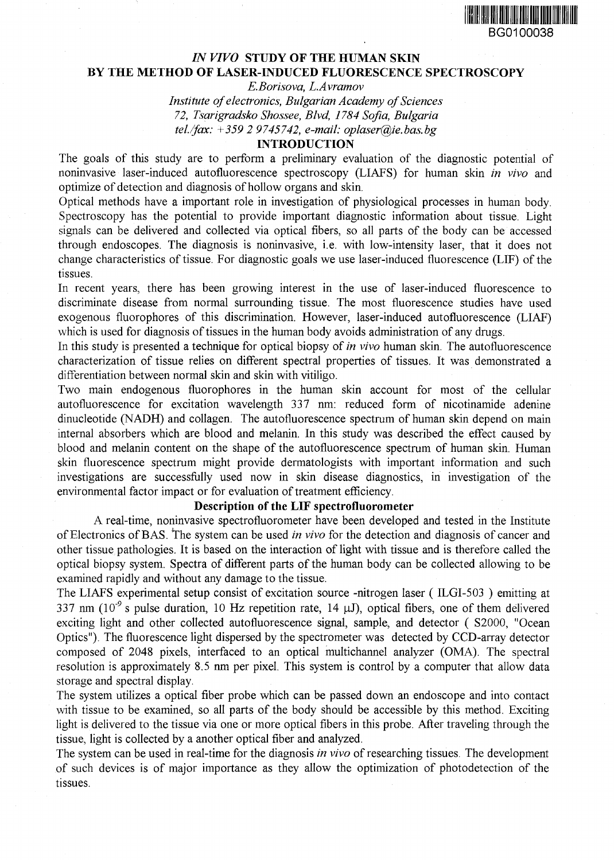

# *IN VIVO* **STUDY OF THE HUMAN SKIN BY THE METHOD OF LASER-INDUCED FLUORESCENCE SPECTROSCOPY**

*E.Borisova, L.Avramov*

*Institute of electronics, Bulgarian Academy of Sciences 72, Tsarigradsko Shossee, Blvd, 1784 Sofia, Bulgaria tel./fax: +359 2 9745742, e-mail: oplaser@ie.bas.bg*

## **INTRODUCTION**

The goals of this study are to perform a preliminary evaluation of the diagnostic potential of noninvasive laser-induced autofluorescence spectroscopy (LIAFS) for human skin *in vivo* and optimize of detection and diagnosis of hollow organs and skin.

Optical methods have a important role in investigation of physiological processes in human body. Spectroscopy has the potential to provide important diagnostic information about tissue. Light signals can be delivered and collected via optical fibers, so all parts of the body can be accessed through endoscopes. The diagnosis is noninvasive, i.e. with low-intensity laser, that it does not change characteristics of tissue. For diagnostic goals we use laser-induced fluorescence (LIF) of the tissues.

In recent years, there has been growing interest in the use of laser-induced fluorescence to discriminate disease from normal surrounding tissue. The most fluorescence studies have used exogenous fluorophores of this discrimination. However, laser-induced autofluorescence (LIAF) which is used for diagnosis of tissues in the human body avoids administration of any drugs.

In this study is presented a technique for optical biopsy of *in vivo* human skin. The autofluorescence characterization of tissue relies on different spectral properties of tissues. It was demonstrated a differentiation between normal skin and skin with vitiligo.

Two main endogenous fluorophores in the human skin account for most of the cellular autofluorescence for excitation wavelength 337 nm: reduced form of nicotinamide adenine dinucleotide (NADH) and collagen. The autofluorescence spectrum of human skin depend on main internal absorbers which are blood and melanin. In this study was described the effect caused by blood and melanin content on the shape of the autofluorescence spectrum of human skin. Human skin fluorescence spectrum might provide dermatologists with important information and such investigations are successfully used now in skin disease diagnostics, in investigation of the environmental factor impact or for evaluation of treatment efficiency.

## **Description of the LIF spectrofluorometer**

A real-time, noninvasive spectrofluorometer have been developed and tested in the Institute of Electronics of BAS. The system can be used *in vivo* for the detection and diagnosis of cancer and other tissue pathologies. It is based on the interaction of light with tissue and is therefore called the optical biopsy system. Spectra of different parts of the human body can be collected allowing to be examined rapidly and without any damage to the tissue.

The LIAFS experimental setup consist of excitation source -nitrogen laser ( ILGI-503 ) emitting at 337 nm (10<sup>-9</sup> s pulse duration, 10 Hz repetition rate, 14  $\mu$ J), optical fibers, one of them delivered exciting light and other collected autofluorescence signal, sample, and detector ( S2000, "Ocean Optics"). The fluorescence light dispersed by the spectrometer was detected by CCD-array detector composed of 2048 pixels, interfaced to an optical multichannel analyzer (OMA). The spectral resolution is approximately 8.5 nm per pixel. This system is control by a computer that allow data storage and spectral display.

The system utilizes a optical fiber probe which can be passed down an endoscope and into contact with tissue to be examined, so all parts of the body should be accessible by this method. Exciting light is delivered to the tissue via one or more optical fibers in this probe. After traveling through the tissue, light is collected by a another optical fiber and analyzed.

The system can be used in real-time for the diagnosis *in vivo* of researching tissues. The development of such devices is of major importance as they allow the optimization of photodetection of the tissues.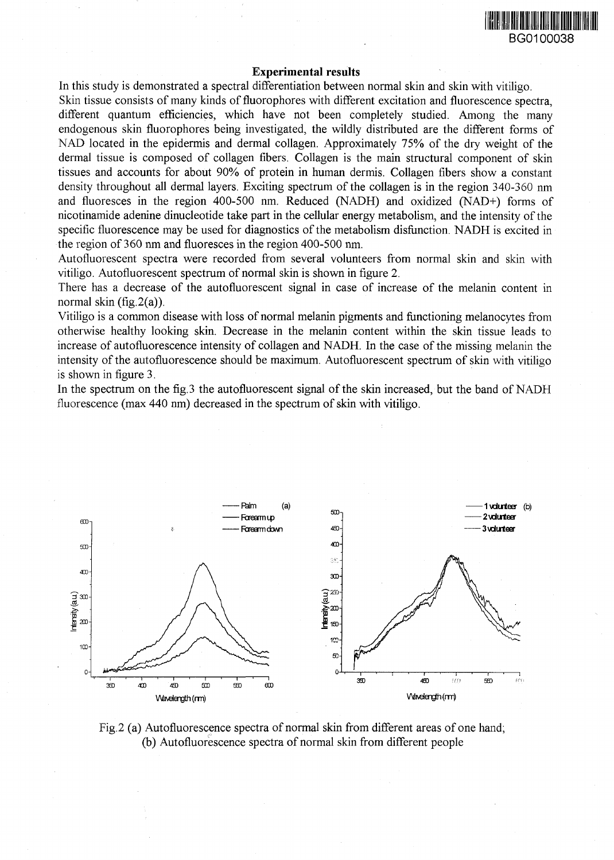

### **Experimental results**

In this study is demonstrated a spectral differentiation between normal skin and skin with vitiligo.

Skin tissue consists of many kinds of fluorophores with different excitation and fluorescence spectra, different quantum efficiencies, which have not been completely studied. Among the many endogenous skin fluorophores being investigated, the wildly distributed are the different forms of NAD located in the epidermis and dermal collagen. Approximately 75% of the dry weight of the dermal tissue is composed of collagen fibers. Collagen is the main structural component of skin tissues and accounts for about 90% of protein in human dermis. Collagen fibers show a constant density throughout all dermal layers. Exciting spectrum of the collagen is in the region 340-360 nm and fluoresces in the region 400-500 nm. Reduced (NADH) and oxidized (NAD+) forms of nicotinamide adenine dinucleotide take part in the cellular energy metabolism, and the intensity of the specific fluorescence may be used for diagnostics of the metabolism disfunction. NADH is excited in the region of 360 nm and fluoresces in the region 400-500 nm.

Autofluorescent spectra were recorded from several volunteers from normal skin and skin with vitiligo. Autofluorescent spectrum of normal skin is shown in figure 2.

There has a decrease of the autofluorescent signal in case of increase of the melanin content in normal skin (fig.2(a)).

Vitiligo is a common disease with loss of normal melanin pigments and functioning melanocytes from otherwise healthy looking skin. Decrease in the melanin content within the skin tissue leads to increase of autofluorescence intensity of collagen and NADH. In the case of the missing melanin the intensity of the autofluorescence should be maximum. Autofluorescent spectrum of skin with vitiligo is shown in figure 3.

In the spectrum on the fig. 3 the autofluorescent signal of the skin increased, but the band of NADH fluorescence (max 440 nm) decreased in the spectrum of skin with vitiligo.



Fig.2 (a) Autofluorescence spectra of normal skin from different areas of one hand; (b) Autofluorescence spectra of normal skin from different people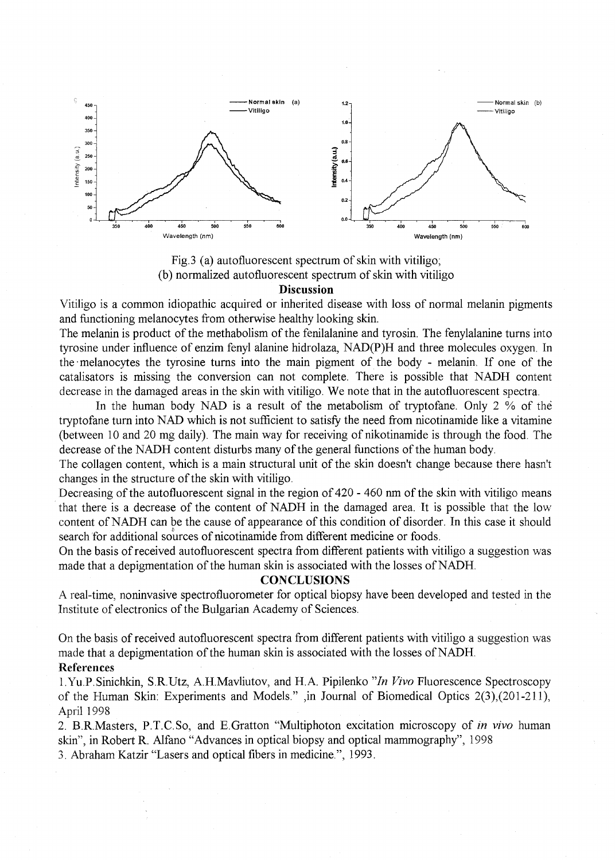

Fig.3 (a) autofluorescent spectrum of skin with vitiligo; (b) normalized autofluorescent spectrum of skin with vitiligo **Discussion**

Vitiligo is a common idiopathic acquired or inherited disease with loss of normal melanin pigments and functioning melanocytes from otherwise healthy looking skin.

The melanin is product of the methabolism of the fenilalanine and tyrosin. The fenylalanine turns into tyrosine under influence of enzim fenyl alanine hidrolaza, NAD(P)H and three molecules oxygen. In the • melanocytes the tyrosine turns into the main pigment of the body - melanin. If one of the catalisators is missing the conversion can not complete. There is possible that NADH content decrease in the damaged areas in the skin with vitiligo. We note that in the autofluorescent spectra.

In the human body NAD is a result of the metabolism of tryptofane. Only 2 % of the tryptofane turn into NAD which is not sufficient to satisfy the need from nicotinamide like a vitamine (between 10 and 20 mg daily). The main way for receiving of nikotinamide is through the food. The decrease of the NADH content disturbs many of the general functions of the human body.

The collagen content, which is a main structural unit of the skin doesn't change because there hasn't changes in the structure of the skin with vitiligo.

Decreasing of the autofluorescent signal in the region of 420 - 460 nm of the skin with vitiligo means that there is a decrease of the content of NADH in the damaged area. It is possible that the low content of NADH can be the cause of appearance of this condition of disorder. In this case it should search for additional sources of nicotinamide from different medicine or foods.

On the basis of received autofluorescent spectra from different patients with vitiligo a suggestion was made that a depigmentation of the human skin is associated with the losses of NADH.

### **CONCLUSIONS**

A real-time, noninvasive spectrofluorometer for optical biopsy have been developed and tested in the Institute of electronics of the Bulgarian Academy of Sciences.

On the basis of received autofluorescent spectra from different patients with vitiligo a suggestion was made that a depigmentation of the human skin is associated with the losses of NADH. References

l.Yu.P.Sinichkin, S.R.Utz, A.H.Mavliutov, and H.A. Pipilenko "*In Vivo* Fluorescence Spectroscopy of the Human Skin: Experiments and Models." ,in Journal of Biomedical Optics 2(3),(201-211), April 1998

2. B.R.Masters, P.T.C.So, and E.Gratton "Multiphoton excitation microscopy of *in vivo* human skin", in Robert R. Alfano "Advances in optical biopsy and optical mammography", 1998 3. Abraham Katzir "Lasers and optical fibers in medicine.", 1993.